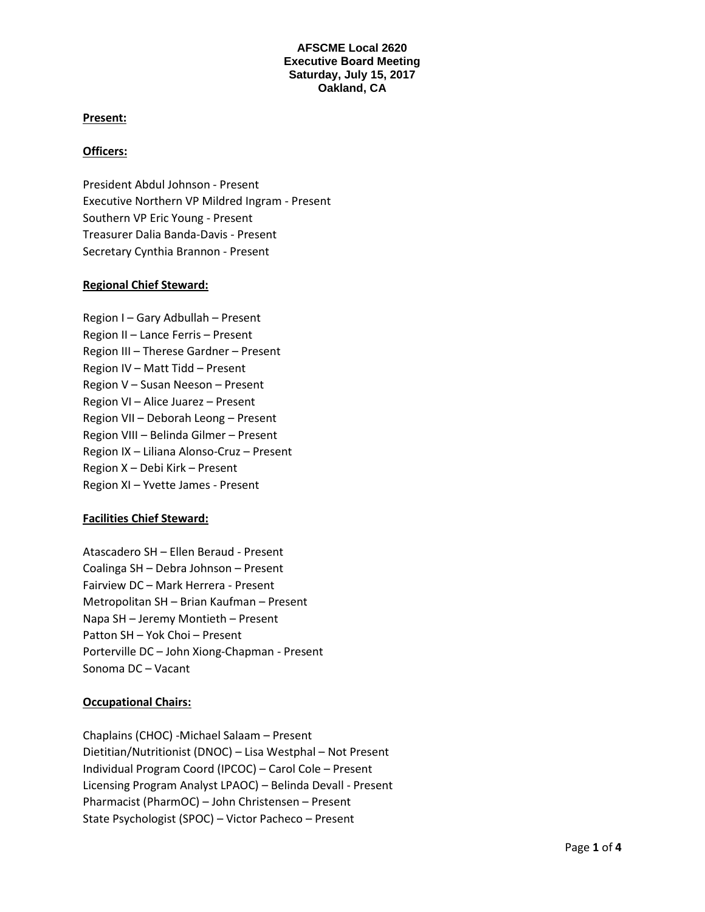## **AFSCME Local 2620 Executive Board Meeting Saturday, July 15, 2017 Oakland, CA**

## **Present:**

## **Officers:**

President Abdul Johnson - Present Executive Northern VP Mildred Ingram - Present Southern VP Eric Young - Present Treasurer Dalia Banda-Davis - Present Secretary Cynthia Brannon - Present

## **Regional Chief Steward:**

Region I – Gary Adbullah – Present Region II – Lance Ferris – Present Region III – Therese Gardner – Present Region IV – Matt Tidd – Present Region V – Susan Neeson – Present Region VI – Alice Juarez – Present Region VII – Deborah Leong – Present Region VIII – Belinda Gilmer – Present Region IX – Liliana Alonso-Cruz – Present Region X – Debi Kirk – Present Region XI – Yvette James - Present

# **Facilities Chief Steward:**

Atascadero SH – Ellen Beraud - Present Coalinga SH – Debra Johnson – Present Fairview DC – Mark Herrera - Present Metropolitan SH – Brian Kaufman – Present Napa SH – Jeremy Montieth – Present Patton SH – Yok Choi – Present Porterville DC – John Xiong-Chapman - Present Sonoma DC – Vacant

# **Occupational Chairs:**

Chaplains (CHOC) -Michael Salaam – Present Dietitian/Nutritionist (DNOC) – Lisa Westphal – Not Present Individual Program Coord (IPCOC) – Carol Cole – Present Licensing Program Analyst LPAOC) – Belinda Devall - Present Pharmacist (PharmOC) – John Christensen – Present State Psychologist (SPOC) – Victor Pacheco – Present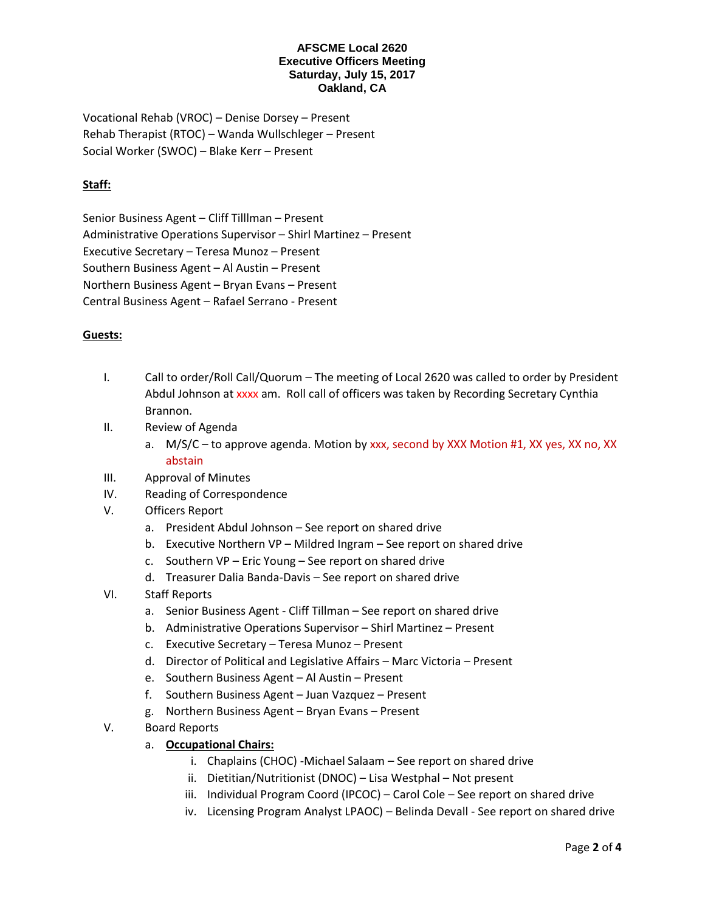#### **AFSCME Local 2620 Executive Officers Meeting Saturday, July 15, 2017 Oakland, CA**

Vocational Rehab (VROC) – Denise Dorsey – Present Rehab Therapist (RTOC) – Wanda Wullschleger – Present Social Worker (SWOC) – Blake Kerr – Present

# **Staff:**

Senior Business Agent – Cliff Tilllman – Present Administrative Operations Supervisor – Shirl Martinez – Present Executive Secretary – Teresa Munoz – Present Southern Business Agent – Al Austin – Present Northern Business Agent – Bryan Evans – Present Central Business Agent – Rafael Serrano - Present

# **Guests:**

- I. Call to order/Roll Call/Quorum The meeting of Local 2620 was called to order by President Abdul Johnson at xxxx am. Roll call of officers was taken by Recording Secretary Cynthia Brannon.
- II. Review of Agenda
	- a. M/S/C to approve agenda. Motion by xxx, second by XXX Motion #1, XX yes, XX no, XX abstain
- III. Approval of Minutes
- IV. Reading of Correspondence
- V. Officers Report
	- a. President Abdul Johnson See report on shared drive
	- b. Executive Northern VP Mildred Ingram See report on shared drive
	- c. Southern VP Eric Young See report on shared drive
	- d. Treasurer Dalia Banda-Davis See report on shared drive
- VI. Staff Reports
	- a. Senior Business Agent Cliff Tillman See report on shared drive
	- b. Administrative Operations Supervisor Shirl Martinez Present
	- c. Executive Secretary Teresa Munoz Present
	- d. Director of Political and Legislative Affairs Marc Victoria Present
	- e. Southern Business Agent Al Austin Present
	- f. Southern Business Agent Juan Vazquez Present
	- g. Northern Business Agent Bryan Evans Present
- V. Board Reports
	- a. **Occupational Chairs:**
		- i. Chaplains (CHOC) -Michael Salaam See report on shared drive
		- ii. Dietitian/Nutritionist (DNOC) Lisa Westphal Not present
		- iii. Individual Program Coord (IPCOC) Carol Cole See report on shared drive
		- iv. Licensing Program Analyst LPAOC) Belinda Devall See report on shared drive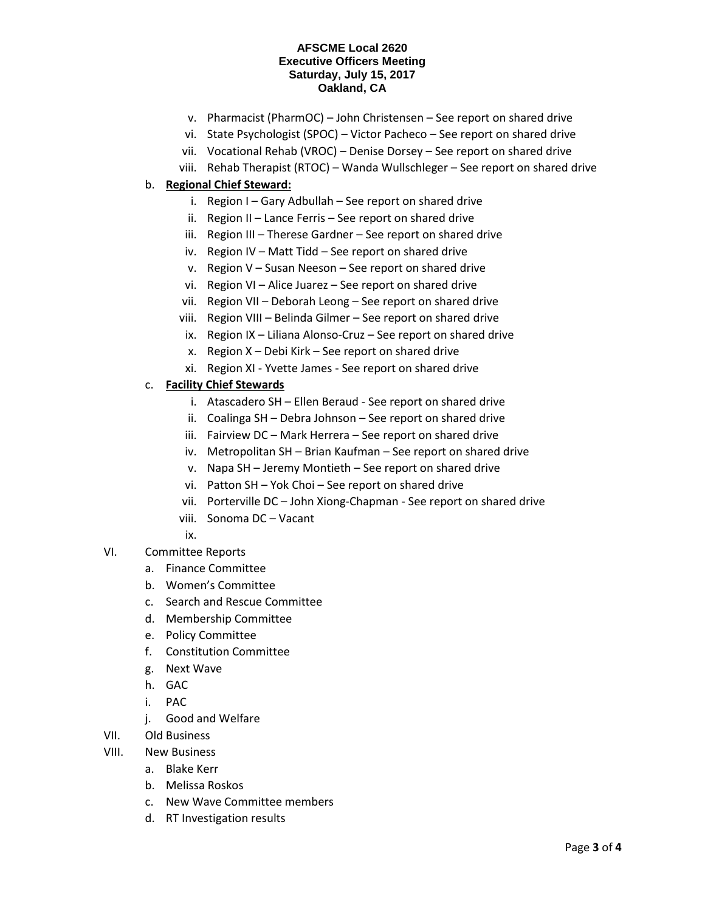#### **AFSCME Local 2620 Executive Officers Meeting Saturday, July 15, 2017 Oakland, CA**

- v. Pharmacist (PharmOC) John Christensen See report on shared drive
- vi. State Psychologist (SPOC) Victor Pacheco See report on shared drive
- vii. Vocational Rehab (VROC) Denise Dorsey See report on shared drive
- viii. Rehab Therapist (RTOC) Wanda Wullschleger See report on shared drive

# b. **Regional Chief Steward:**

- i. Region I Gary Adbullah See report on shared drive
- ii. Region II Lance Ferris See report on shared drive
- iii. Region III Therese Gardner See report on shared drive
- iv. Region IV Matt Tidd See report on shared drive
- v. Region V Susan Neeson See report on shared drive
- vi. Region VI Alice Juarez See report on shared drive
- vii. Region VII Deborah Leong See report on shared drive
- viii. Region VIII Belinda Gilmer See report on shared drive
- ix. Region IX Liliana Alonso-Cruz See report on shared drive
- x. Region X Debi Kirk See report on shared drive
- xi. Region XI Yvette James See report on shared drive

# c. **Facility Chief Stewards**

- i. Atascadero SH Ellen Beraud See report on shared drive
- ii. Coalinga SH Debra Johnson See report on shared drive
- iii. Fairview DC Mark Herrera See report on shared drive
- iv. Metropolitan SH Brian Kaufman See report on shared drive
- v. Napa SH Jeremy Montieth See report on shared drive
- vi. Patton SH Yok Choi See report on shared drive
- vii. Porterville DC John Xiong-Chapman See report on shared drive
- viii. Sonoma DC Vacant
- ix.
- VI. Committee Reports
	- a. Finance Committee
	- b. Women's Committee
	- c. Search and Rescue Committee
	- d. Membership Committee
	- e. Policy Committee
	- f. Constitution Committee
	- g. Next Wave
	- h. GAC
	- i. PAC
	- j. Good and Welfare
- VII. Old Business
- VIII. New Business
	- a. Blake Kerr
	- b. Melissa Roskos
	- c. New Wave Committee members
	- d. RT Investigation results